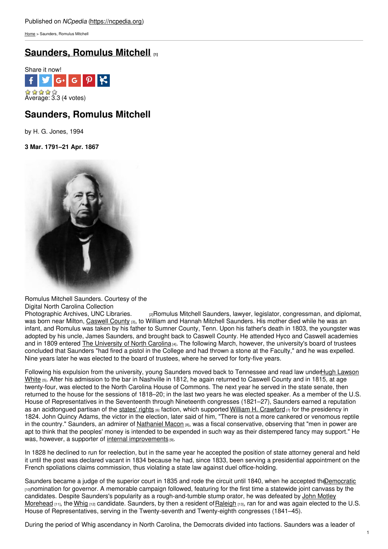[Home](https://ncpedia.org/) > Saunders, Romulus Mitchell

# **[Saunders,](https://ncpedia.org/biography/saunders-romulus-mitchell) Romulus Mitchell [1]**



# **Saunders, Romulus Mitchell**

by H. G. Jones, 1994

**3 Mar. 1791–21 Apr. 1867**



Romulus Mitchell Saunders. Courtesy of the

Digital North Carolina Collection<br>Photographic Archives, UNC Libraries.  $p$ <sub>[2]</sub>Romulus Mitchell Saunders, lawyer, legislator, congressman, and diplomat, was born near Milton, [Caswell](https://ncpedia.org/geography/caswell) County [3], to William and Hannah Mitchell Saunders. His mother died while he was an infant, and Romulus was taken by his father to Sumner County, Tenn. Upon his father's death in 1803, the youngster was adopted by his uncle, James Saunders, and brought back to Caswell County. He attended Hyco and Caswell academies and in 1809 entered The [University](https://ncpedia.org/university-north-carolina-chapel-hi) of North Carolina [4]. The following March, however, the university's board of trustees concluded that Saunders "had fired a pistol in the College and had thrown a stone at the Faculty," and he was expelled. Nine years later he was elected to the board of trustees, where he served for forty-five years.

Following his expulsion from the university, young Saunders moved back to [Tennessee](https://ncpedia.org/biography/white-hugh-lawson) and read law underHugh Lawson White [5]. After his admission to the bar in Nashville in 1812, he again returned to Caswell County and in 1815, at age twenty-four, was elected to the North Carolina House of Commons. The next year he served in the state senate, then returned to the house for the sessions of 1818–20; in the last two years he was elected speaker. As a member of the U.S. House of Representatives in the Seventeenth through Nineteenth congresses (1821–27), Saunders earned a reputation as an acidtongued partisan of the [states'](https://ncpedia.org/state-rights) rights  $_{[6]}$  faction, which supported William H. [Crawford](http://bioguide.congress.gov/scripts/biodisplay.pl?index=c000895)  $_{[7]}$  for the presidency in 1824. John Quincy Adams, the victor in the election, later said of him, "There is not a more cankered or venomous reptile in the country." Saunders, an admirer of [Nathaniel](https://ncpedia.org/biography/macon-nathaniel-0) Macon  $_{[8]}$ , was a fiscal conservative, observing that "men in power are apt to think that the peoples' money is intended to be expended in such way as their distempered fancy may support." He was, however, a supporter of internal [improvements](https://ncpedia.org/internal-improvements-0) [9].

In 1828 he declined to run for reelection, but in the same year he accepted the position of state attorney general and held it until the post was declared vacant in 1834 because he had, since 1833, been serving a presidential appointment on the French spoliations claims commission, thus violating a state law against duel office-holding.

Saunders became a judge of the superior court in 1835 and rode the circuit until 1840, when he accepted the Democratic [10]nomination for governor. A memorable campaign followed, featuring for the first time a statewide joint canvass by the candidates. Despite Saunders's popularity as a [rough-and-tumble](https://ncpedia.org/biography/morehead-john-motley) stump orator, he was defeated by John Motley Morehead [11], the [Whig](https://ncpedia.org/whig-party) [12] candidate. Saunders, by then a resident of Raleigh [13], ran for and was again elected to the U.S. House of Representatives, serving in the Twenty-seventh and Twenty-eighth congresses (1841–45).

During the period of Whig ascendancy in North Carolina, the Democrats divided into factions. Saunders was a leader of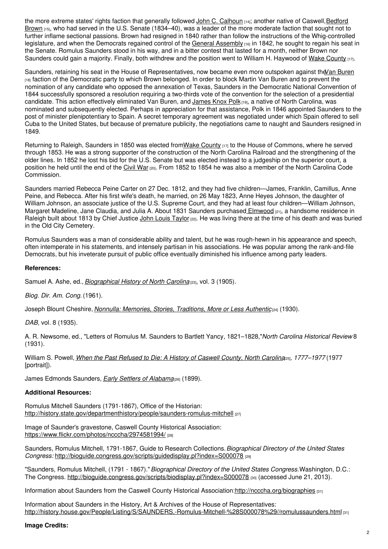the more extreme states' rights faction that generally followed John C. [Calhoun](http://bioguide.congress.gov/scripts/biodisplay.pl?index=c000044) [14]; another native of Caswell, Bedford Brown [15], who had served in the U.S. Senate (1834–40), was a leader of the more moderate faction that sought not to further inflame sectional passions. Brown had resigned in 1840 rather than follow the instructions of the Whig-controlled legislature, and when the Democrats regained control of the General [Assembly](https://ncpedia.org/general-assembly)  $[16]$  in 1842, he sought to regain his seat in the Senate. Romulus Saunders stood in his way, and in a bitter contest that lasted for a month, neither Brown nor Saunders could gain a majority. Finally, both withdrew and the position went to William H. Haywood of Wake [County](https://ncpedia.org/geography/wake) [17].

Saunders, retaining his seat in the House of Representatives, now became even more outspoken against the Van [Buren](https://www.whitehouse.gov/about/presidents/martinvanburen) [18] faction of the Democratic party to which Brown belonged. In order to block Martin Van Buren and to prevent the nomination of any candidate who opposed the annexation of Texas, Saunders in the Democratic National Convention of 1844 successfully sponsored a resolution requiring a two-thirds vote of the convention for the selection of a presidential candidate. This action effectively eliminated Van Buren, and [James](https://ncpedia.org/biography/polk-james) Knox Polk [19], a native of North Carolina, was nominated and subsequently elected. Perhaps in appreciation for that assistance, Polk in 1846 appointed Saunders to the post of minister plenipotentiary to Spain. A secret temporary agreement was negotiated under which Spain offered to sell Cuba to the United States, but because of premature publicity, the negotiations came to naught and Saunders resigned in 1849.

Returning to Raleigh, Saunders in 1850 was elected from Wake [County](https://ncpedia.org/geography/wake) [17] to the House of Commons, where he served through 1853. He was a strong supporter of the construction of the North Carolina Railroad and the strengthening of the older lines. In 1852 he lost his bid for the U.S. Senate but was elected instead to a judgeship on the superior court, a position he held until the end of the [Civil](https://ncpedia.org/history/cw-1900/civil-war) War [20]. From 1852 to 1854 he was also a member of the North Carolina Code Commission.

Saunders married Rebecca Peine Carter on 27 Dec. 1812, and they had five children—James, Franklin, Camillus, Anne Peine, and Rebecca. After his first wife's death, he married, on 26 May 1823, Anne Heyes Johnson, the daughter of William Johnson, an associate justice of the U.S. Supreme Court, and they had at least four children—William Johnson, Margaret Madeline, Jane Claudia, and Julia A. About 1831 Saunders purchased [Elmwood](http://d.lib.ncsu.edu/collections/catalog/bh0265p07) [21], a handsome residence in Raleigh built about 1813 by Chief Justice John Louis [Taylor](https://ncpedia.org/biography/taylor-john-louis) [22]. He was living there at the time of his death and was buried in the Old City Cemetery.

Romulus Saunders was a man of considerable ability and talent, but he was rough-hewn in his appearance and speech, often intemperate in his statements, and intensely partisan in his associations. He was popular among the rank-and-file Democrats, but his inveterate pursuit of public office eventually diminished his influence among party leaders.

## **References:**

Samuel A. Ashe, ed., *[Biographical](https://archive.org/details/biographicalhis03ashegoog) History of North Carolina* [23], vol. 3 (1905).

*Biog. Dir. Am. Cong.* (1961).

Joseph Blount Cheshire, *Nonnulla: Memories, Stories, [Traditions,](http://digital.lib.ecu.edu/historyfiction/item.aspx?id=chn) More or Less Authentic* [24] (1930).

*DAB*, vol. 8 (1935).

A. R. Newsome, ed., "Letters of Romulus M. Saunders to Bartlett Yancy, 1821–1828,"*North Carolina Historical Review* 8 (1931).

William S. Powell, When the Past [Refused](http://books.google.com/books/about/When_the_past_refused_to_die.html?id=IPcRAQAAIAAJ) to Die: A History of Caswell County, North Carolinges, 1777-1977 (1977 [portrait]).

James Edmonds Saunders, *Early Settlers of [Alabama](https://archive.org/details/cu31924102201641)*[26] (1899).

## **Additional Resources:**

Romulus Mitchell Saunders (1791-1867), Office of the Historian: <http://history.state.gov/departmenthistory/people/saunders-romulus-mitchell> [27]

Image of Saunder's gravestone, Caswell County Historical Association: <https://www.flickr.com/photos/ncccha/2974581994/> [28]

Saunders, Romulus Mitchell, 1791-1867, Guide to Research Collections.*Biographical Directory of the United States Congress:* <http://bioguide.congress.gov/scripts/guidedisplay.pl?index=S000078> [29]

"Saunders, Romulus Mitchell, (1791 - 1867)."*Biographical Directory of the United States Congress.*Washington, D.C.: The Congress. <http://bioguide.congress.gov/scripts/biodisplay.pl?index=S000078> [30] (accessed June 21, 2013).

Information about Saunders from the Caswell County Historical Association[:http://ncccha.org/biographies](http://ncccha.org/biographies/romulussaunders.html) [31]

Information about Saunders in the History, Art & Archives of the House of Representatives: [http://history.house.gov/People/Listing/S/SAUNDERS,-Romulus-Mitchell-%28S000078%29//romulussaunders.html](http://ncccha.org/biographies/romulussaunders.html) [31]

### **Image Credits:**